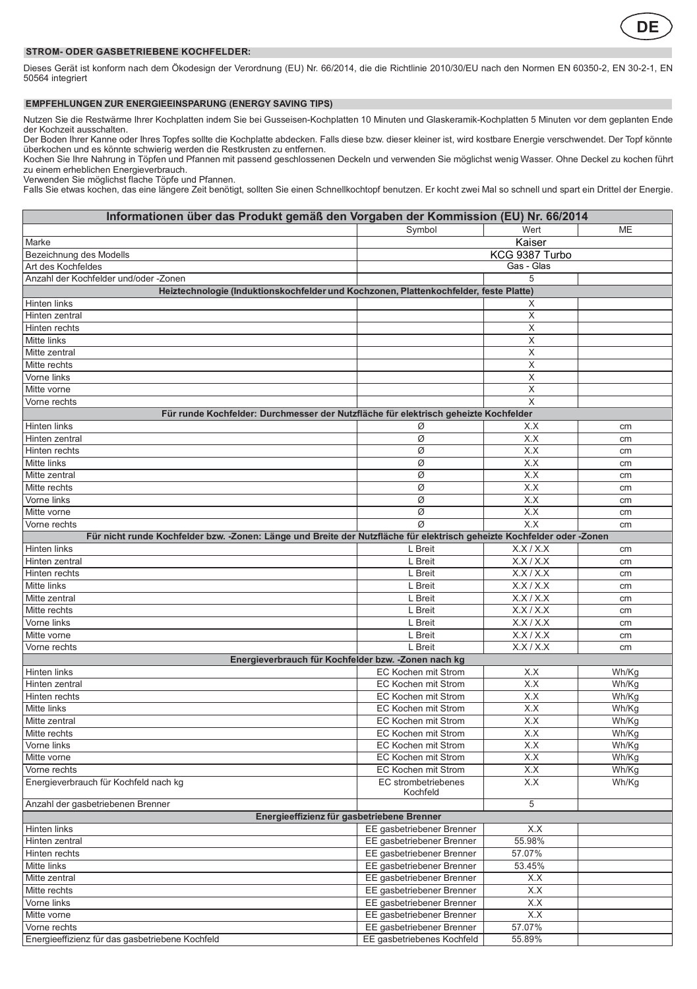

## **STROM- ODER GASBETRIEBENE KOCHFELDER:**

Dieses Gerät ist konform nach dem Ökodesign der Verordnung (EU) Nr. 66/2014, die die Richtlinie 2010/30/EU nach den Normen EN 60350-2, EN 30-2-1, EN 50564 integriert

## **EMPFEHLUNGEN ZUR ENERGIEEINSPARUNG (ENERGY SAVING TIPS)**

Nutzen Sie die Restwärme Ihrer Kochplatten indem Sie bei Gusseisen-Kochplatten 10 Minuten und Glaskeramik-Kochplatten 5 Minuten vor dem geplanten Ende der Kochzeit ausschalten.

Der Boden Ihrer Kanne oder Ihres Topfes sollte die Kochplatte abdecken. Falls diese bzw. dieser kleiner ist, wird kostbare Energie verschwendet. Der Topf könnte<br>überkochen und es könnte schwierig werden die Restkrusten zu

Kochen Sie Ihre Nahrung in Töpfen und Pfannen mit passend geschlossenen Deckeln und verwenden Sie möglichst wenig Wasser. Ohne Deckel zu kochen führt zu einem erheblichen Energieverbrauch.

Verwenden Sie möglichst flache Töpfe und Pfannen.

Falls Sie etwas kochen, das eine längere Zeit benötigt, sollten Sie einen Schnellkochtopf benutzen. Er kocht zwei Mal so schnell und spart ein Drittel der Energie.

| Informationen über das Produkt gemäß den Vorgaben der Kommission (EU) Nr. 66/2014                                      |                                            |                         |                |  |  |
|------------------------------------------------------------------------------------------------------------------------|--------------------------------------------|-------------------------|----------------|--|--|
|                                                                                                                        | Symbol                                     | Wert                    | ME             |  |  |
| Marke                                                                                                                  | Kaiser                                     |                         |                |  |  |
| Bezeichnung des Modells                                                                                                |                                            | KCG 9387 Turbo          |                |  |  |
| Art des Kochfeldes                                                                                                     |                                            | Gas - Glas              |                |  |  |
| Anzahl der Kochfelder und/oder -Zonen                                                                                  |                                            | 5                       |                |  |  |
| Heiztechnologie (Induktionskochfelder und Kochzonen, Plattenkochfelder, feste Platte)                                  |                                            |                         |                |  |  |
| Hinten links                                                                                                           |                                            | Х                       |                |  |  |
| Hinten zentral                                                                                                         |                                            | Χ                       |                |  |  |
| Hinten rechts                                                                                                          |                                            | X                       |                |  |  |
| Mitte links                                                                                                            |                                            | X                       |                |  |  |
| Mitte zentral                                                                                                          |                                            | X                       |                |  |  |
| Mitte rechts                                                                                                           |                                            | X                       |                |  |  |
| Vorne links                                                                                                            |                                            | X                       |                |  |  |
| Mitte vorne                                                                                                            |                                            | $\overline{\mathsf{x}}$ |                |  |  |
| Vorne rechts                                                                                                           |                                            | X                       |                |  |  |
| Für runde Kochfelder: Durchmesser der Nutzfläche für elektrisch geheizte Kochfelder                                    |                                            |                         |                |  |  |
| Hinten links                                                                                                           | Ø                                          | X.X                     | cm             |  |  |
| Hinten zentral                                                                                                         | Ø                                          | X.X                     | cm             |  |  |
| Hinten rechts                                                                                                          | Ø                                          | X.X                     | cm             |  |  |
| Mitte links                                                                                                            | Ø                                          | X.X                     | cm             |  |  |
| Mitte zentral                                                                                                          | Ø                                          | X.X                     | cm             |  |  |
| Mitte rechts                                                                                                           | Ø                                          | X.X                     | cm             |  |  |
| Vorne links                                                                                                            | Ø                                          | X.X                     | cm             |  |  |
| Mitte vorne                                                                                                            | Ø                                          | X.X                     | cm             |  |  |
| Vorne rechts                                                                                                           | Ø                                          | X.X                     | cm             |  |  |
| Für nicht runde Kochfelder bzw. -Zonen: Länge und Breite der Nutzfläche für elektrisch geheizte Kochfelder oder -Zonen |                                            |                         |                |  |  |
| Hinten links                                                                                                           | L Breit                                    | X.X/X.X                 | cm             |  |  |
| Hinten zentral                                                                                                         | L Breit                                    | X.X/X.X                 | cm             |  |  |
| Hinten rechts                                                                                                          | L Breit                                    | X.X/X.X                 | cm             |  |  |
| Mitte links                                                                                                            | L Breit                                    | X.X/X.X                 | cm             |  |  |
| Mitte zentral                                                                                                          | L Breit                                    | X.X/X.X                 | cm             |  |  |
| Mitte rechts                                                                                                           | L Breit                                    | X.X/X.X                 | cm             |  |  |
| Vorne links                                                                                                            | L Breit                                    | X.X/X.X                 | cm             |  |  |
| Mitte vorne                                                                                                            | L Breit                                    | X.X/X.X                 | cm             |  |  |
| Vorne rechts                                                                                                           | L Breit                                    | X.X/X.X                 | cm             |  |  |
| Energieverbrauch für Kochfelder bzw. - Zonen nach kg                                                                   |                                            |                         |                |  |  |
| Hinten links                                                                                                           | EC Kochen mit Strom<br>EC Kochen mit Strom | X.X<br>X.X              | Wh/Kg          |  |  |
| Hinten zentral                                                                                                         |                                            |                         | Wh/Kg<br>Wh/Kg |  |  |
| Hinten rechts<br>Mitte links                                                                                           | EC Kochen mit Strom<br>EC Kochen mit Strom | X.X<br>X.X              | Wh/Kg          |  |  |
| Mitte zentral                                                                                                          | EC Kochen mit Strom                        | X.X                     | Wh/Kg          |  |  |
| Mitte rechts                                                                                                           | EC Kochen mit Strom                        | X.X                     | Wh/Kg          |  |  |
| Vorne links                                                                                                            | EC Kochen mit Strom                        | X.X                     | Wh/Kg          |  |  |
| Mitte vorne                                                                                                            | EC Kochen mit Strom                        | X.X                     | Wh/Kg          |  |  |
| Vorne rechts                                                                                                           | EC Kochen mit Strom                        | X.X                     | Wh/Kg          |  |  |
| Energieverbrauch für Kochfeld nach kg                                                                                  | EC strombetriebenes                        | X.X                     | Wh/Kg          |  |  |
|                                                                                                                        | Kochfeld                                   |                         |                |  |  |
| Anzahl der gasbetriebenen Brenner                                                                                      |                                            | $\overline{5}$          |                |  |  |
| Energieeffizienz für gasbetriebene Brenner                                                                             |                                            |                         |                |  |  |
| Hinten links                                                                                                           | EE gasbetriebener Brenner                  | X.X                     |                |  |  |
| Hinten zentral                                                                                                         | EE gasbetriebener Brenner                  | 55.98%                  |                |  |  |
| Hinten rechts                                                                                                          | EE gasbetriebener Brenner                  | 57.07%                  |                |  |  |
| Mitte links                                                                                                            | EE gasbetriebener Brenner                  | 53.45%                  |                |  |  |
| Mitte zentral                                                                                                          | EE gasbetriebener Brenner                  | X.X                     |                |  |  |
| Mitte rechts                                                                                                           | EE gasbetriebener Brenner                  | X.X                     |                |  |  |
| Vorne links                                                                                                            | EE gasbetriebener Brenner                  | X.X                     |                |  |  |
| Mitte vorne                                                                                                            | EE gasbetriebener Brenner                  | X.X                     |                |  |  |
| Vorne rechts                                                                                                           | EE gasbetriebener Brenner                  | 57.07%                  |                |  |  |
| Energieeffizienz für das gasbetriebene Kochfeld                                                                        | EE gasbetriebenes Kochfeld                 | 55.89%                  |                |  |  |